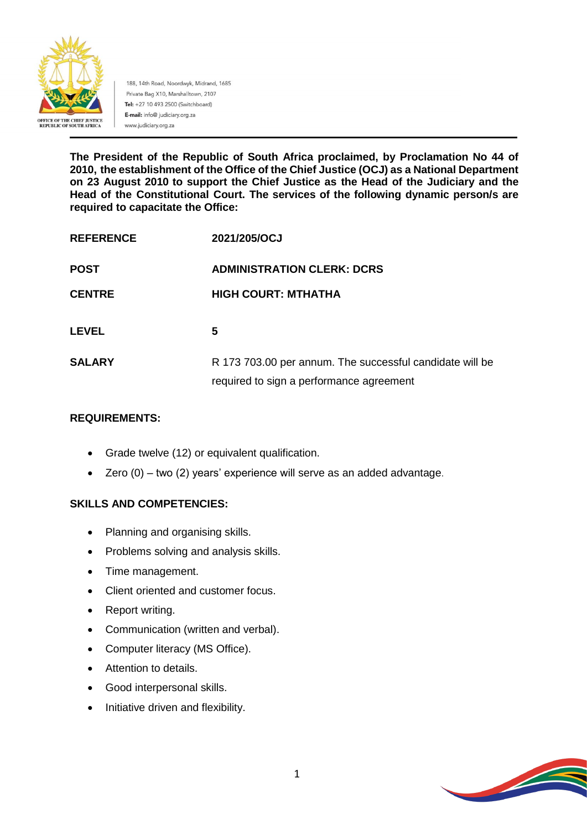

188, 14th Road, Noordwyk, Midrand, 1685 Private Bag X10, Marshalltown, 2107 Tel: +27 10 493 2500 (Switchboard) E-mail: info@ judiciary.org.za www.judiciary.org.za

**The President of the Republic of South Africa proclaimed, by Proclamation No 44 of 2010, the establishment of the Office of the Chief Justice (OCJ) as a National Department on 23 August 2010 to support the Chief Justice as the Head of the Judiciary and the Head of the Constitutional Court. The services of the following dynamic person/s are required to capacitate the Office:**

| <b>REFERENCE</b> | 2021/205/OCJ                                                                                         |
|------------------|------------------------------------------------------------------------------------------------------|
| <b>POST</b>      | <b>ADMINISTRATION CLERK: DCRS</b>                                                                    |
| <b>CENTRE</b>    | <b>HIGH COURT: MTHATHA</b>                                                                           |
| <b>LEVEL</b>     | 5                                                                                                    |
| <b>SALARY</b>    | R 173 703.00 per annum. The successful candidate will be<br>required to sign a performance agreement |

## **REQUIREMENTS:**

- Grade twelve (12) or equivalent qualification.
- Zero (0) two (2) years' experience will serve as an added advantage.

# **SKILLS AND COMPETENCIES:**

- Planning and organising skills.
- Problems solving and analysis skills.
- Time management.
- Client oriented and customer focus.
- Report writing.
- Communication (written and verbal).
- Computer literacy (MS Office).
- Attention to details.
- Good interpersonal skills.
- Initiative driven and flexibility.

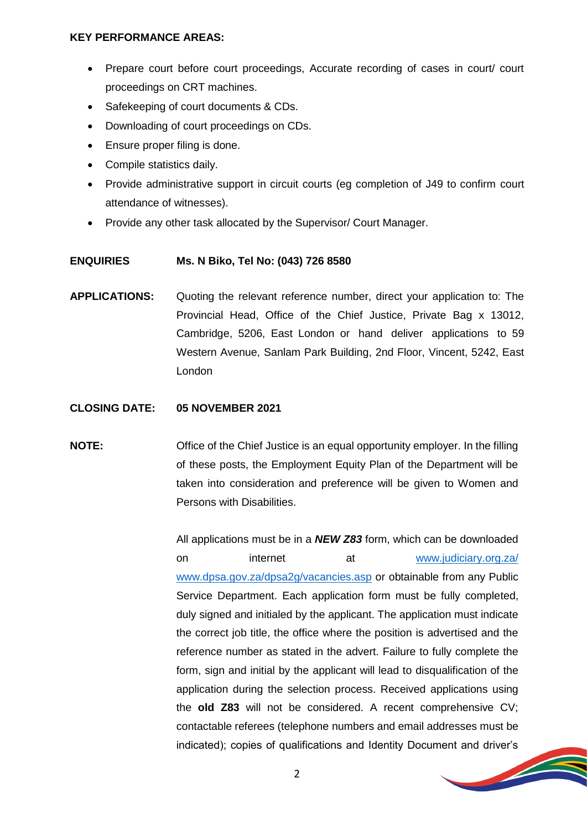### **KEY PERFORMANCE AREAS:**

- Prepare court before court proceedings, Accurate recording of cases in court/ court proceedings on CRT machines.
- Safekeeping of court documents & CDs.
- Downloading of court proceedings on CDs.
- Ensure proper filing is done.
- Compile statistics daily.
- Provide administrative support in circuit courts (eq completion of J49 to confirm court attendance of witnesses).
- Provide any other task allocated by the Supervisor/ Court Manager.

#### **ENQUIRIES Ms. N Biko, Tel No: (043) 726 8580**

**APPLICATIONS:** Quoting the relevant reference number, direct your application to: The Provincial Head, Office of the Chief Justice, Private Bag x 13012, Cambridge, 5206, East London or hand deliver applications to 59 Western Avenue, Sanlam Park Building, 2nd Floor, Vincent, 5242, East London

## **CLOSING DATE: 05 NOVEMBER 2021**

**NOTE:** Office of the Chief Justice is an equal opportunity employer. In the filling of these posts, the Employment Equity Plan of the Department will be taken into consideration and preference will be given to Women and Persons with Disabilities.

> All applications must be in a *NEW Z83* form, which can be downloaded on internet at [www.judiciary.org.za/](http://www.judiciary.org.za/) [www.dpsa.gov.za/dpsa2g/vacancies.asp](http://www.dpsa.gov.za/dpsa2g/vacancies.asp) or obtainable from any Public Service Department. Each application form must be fully completed, duly signed and initialed by the applicant. The application must indicate the correct job title, the office where the position is advertised and the reference number as stated in the advert. Failure to fully complete the form, sign and initial by the applicant will lead to disqualification of the application during the selection process. Received applications using the **old Z83** will not be considered. A recent comprehensive CV; contactable referees (telephone numbers and email addresses must be indicated); copies of qualifications and Identity Document and driver's

> > **September 2006**